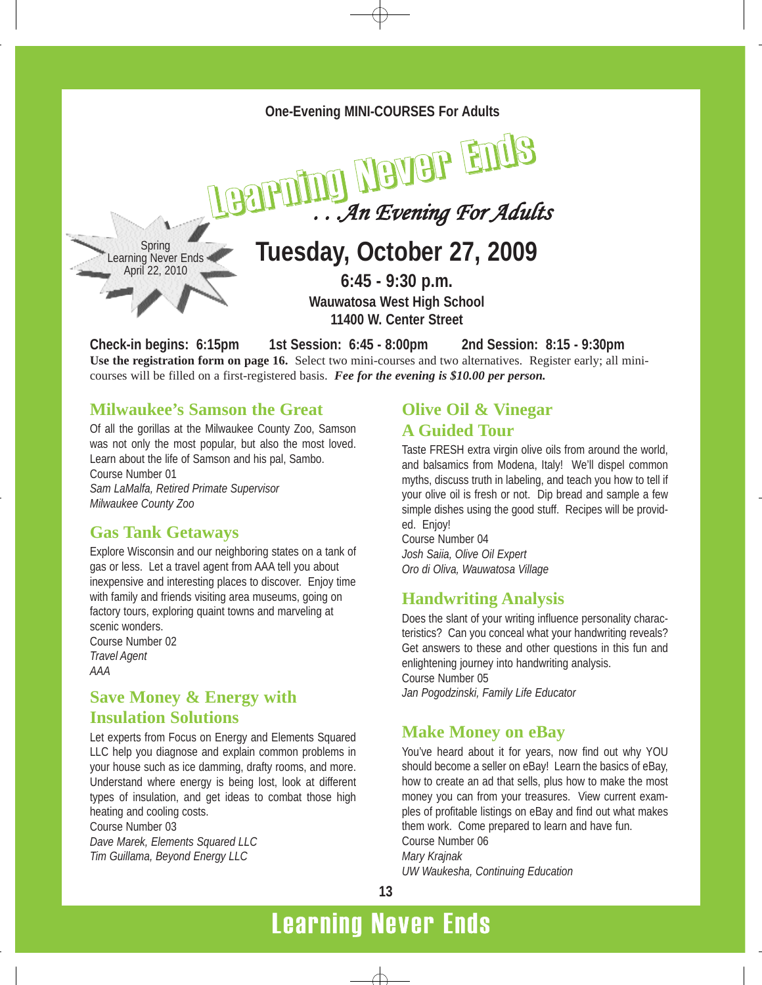

**Check-in begins: 6:15pm 1st Session: 6:45 - 8:00pm 2nd Session: 8:15 - 9:30pm Use the registration form on page 16.** Select two mini-courses and two alternatives. Register early; all minicourses will be filled on a first-registered basis. *Fee for the evening is \$10.00 per person.*

### **Milwaukee's Samson the Great**

Of all the gorillas at the Milwaukee County Zoo, Samson was not only the most popular, but also the most loved. Learn about the life of Samson and his pal, Sambo. Course Number 01 *Sam LaMalfa, Retired Primate Supervisor Milwaukee County Zoo*

### **Gas Tank Getaways**

Explore Wisconsin and our neighboring states on a tank of gas or less. Let a travel agent from AAA tell you about inexpensive and interesting places to discover. Enjoy time with family and friends visiting area museums, going on factory tours, exploring quaint towns and marveling at scenic wonders.

Course Number 02 *Travel Agent AAA*

### **Save Money & Energy with Insulation Solutions**

Let experts from Focus on Energy and Elements Squared LLC help you diagnose and explain common problems in your house such as ice damming, drafty rooms, and more. Understand where energy is being lost, look at different types of insulation, and get ideas to combat those high heating and cooling costs. Course Number 03 *Dave Marek, Elements Squared LLC Tim Guillama, Beyond Energy LLC*

# **Olive Oil & Vinegar A Guided Tour**

Taste FRESH extra virgin olive oils from around the world, and balsamics from Modena, Italy! We'll dispel common myths, discuss truth in labeling, and teach you how to tell if your olive oil is fresh or not. Dip bread and sample a few simple dishes using the good stuff. Recipes will be provided. Enjoy!

Course Number 04 *Josh Saiia, Olive Oil Expert Oro di Oliva, Wauwatosa Village*

### **Handwriting Analysis**

Does the slant of your writing influence personality characteristics? Can you conceal what your handwriting reveals? Get answers to these and other questions in this fun and enlightening journey into handwriting analysis. Course Number 05

*Jan Pogodzinski, Family Life Educator*

### **Make Money on eBay**

You've heard about it for years, now find out why YOU should become a seller on eBay! Learn the basics of eBay, how to create an ad that sells, plus how to make the most money you can from your treasures. View current examples of profitable listings on eBay and find out what makes them work. Come prepared to learn and have fun. Course Number 06 *Mary Krajnak UW Waukesha, Continuing Education*

**13**

# Learning Never Ends

 $\triangle$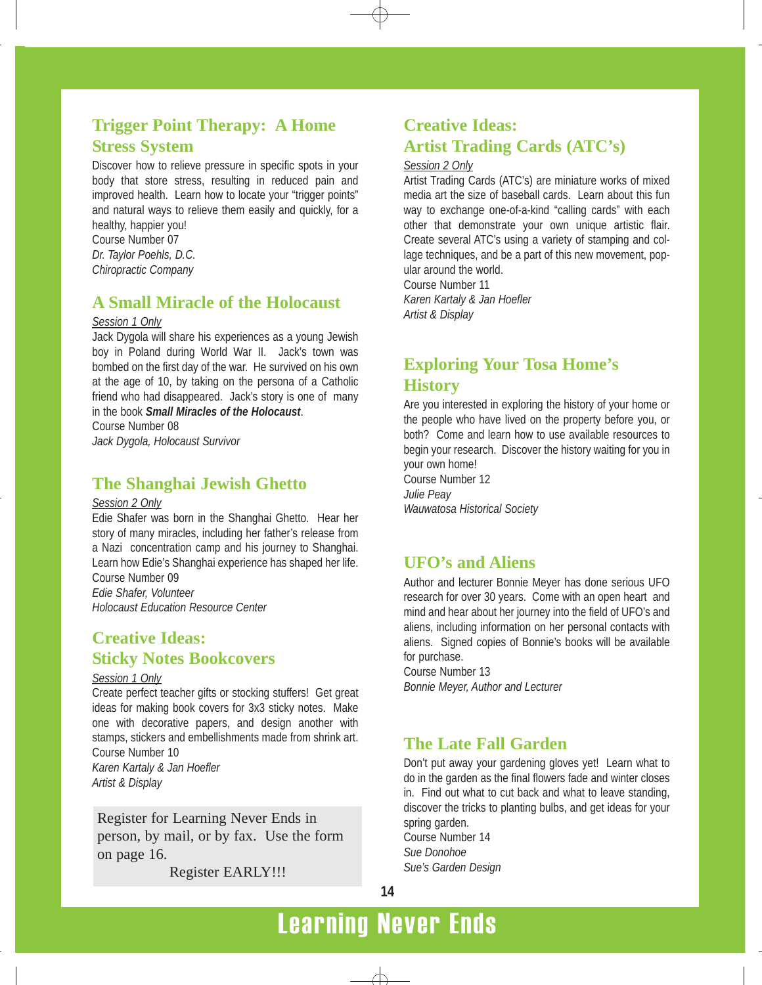# **Trigger Point Therapy: A Home Stress System**

Discover how to relieve pressure in specific spots in your body that store stress, resulting in reduced pain and improved health. Learn how to locate your "trigger points" and natural ways to relieve them easily and quickly, for a healthy, happier you!

Course Number 07 *Dr. Taylor Poehls, D.C. Chiropractic Company*

## **A Small Miracle of the Holocaust**

#### *Session 1 Only*

Jack Dygola will share his experiences as a young Jewish boy in Poland during World War II. Jack's town was bombed on the first day of the war. He survived on his own at the age of 10, by taking on the persona of a Catholic friend who had disappeared. Jack's story is one of many in the book *Small Miracles of the Holocaust*. Course Number 08

*Jack Dygola, Holocaust Survivor*

### **The Shanghai Jewish Ghetto**

#### *Session 2 Only*

Edie Shafer was born in the Shanghai Ghetto. Hear her story of many miracles, including her father's release from a Nazi concentration camp and his journey to Shanghai. Learn how Edie's Shanghai experience has shaped her life. Course Number 09 *Edie Shafer, Volunteer Holocaust Education Resource Center*

### **Creative Ideas: Sticky Notes Bookcovers**

#### *Session 1 Only*

Create perfect teacher gifts or stocking stuffers! Get great ideas for making book covers for 3x3 sticky notes. Make one with decorative papers, and design another with stamps, stickers and embellishments made from shrink art. Course Number 10 *Karen Kartaly & Jan Hoefler*

*Artist & Display*

Register for Learning Never Ends in person, by mail, or by fax. Use the form on page 16.

Register EARLY!!!

# **Creative Ideas: Artist Trading Cards (ATC's)**

#### *Session 2 Only*

Artist Trading Cards (ATC's) are miniature works of mixed media art the size of baseball cards. Learn about this fun way to exchange one-of-a-kind "calling cards" with each other that demonstrate your own unique artistic flair. Create several ATC's using a variety of stamping and collage techniques, and be a part of this new movement, popular around the world.

Course Number 11 *Karen Kartaly & Jan Hoefler Artist & Display*

# **Exploring Your Tosa Home's History**

Are you interested in exploring the history of your home or the people who have lived on the property before you, or both? Come and learn how to use available resources to begin your research. Discover the history waiting for you in your own home!

Course Number 12 *Julie Peay Wauwatosa Historical Society*

### **UFO's and Aliens**

Author and lecturer Bonnie Meyer has done serious UFO research for over 30 years. Come with an open heart and mind and hear about her journey into the field of UFO's and aliens, including information on her personal contacts with aliens. Signed copies of Bonnie's books will be available for purchase.

Course Number 13 *Bonnie Meyer, Author and Lecturer*

# **The Late Fall Garden**

Don't put away your gardening gloves yet! Learn what to do in the garden as the final flowers fade and winter closes in. Find out what to cut back and what to leave standing, discover the tricks to planting bulbs, and get ideas for your spring garden. Course Number 14 *Sue Donohoe*

*Sue's Garden Design*

# Learning Never Ends

 $\triangle$ 

**14**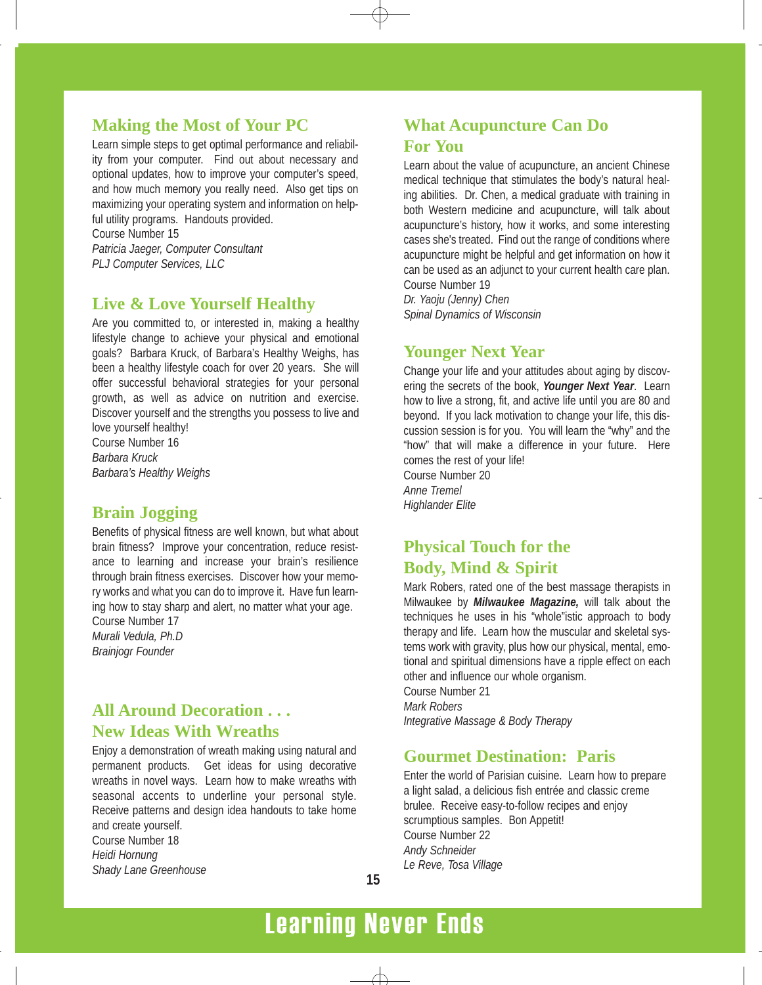### **Making the Most of Your PC**

Learn simple steps to get optimal performance and reliability from your computer. Find out about necessary and optional updates, how to improve your computer's speed, and how much memory you really need. Also get tips on maximizing your operating system and information on helpful utility programs. Handouts provided.

Course Number 15 *Patricia Jaeger, Computer Consultant PLJ Computer Services, LLC*

### **Live & Love Yourself Healthy**

Are you committed to, or interested in, making a healthy lifestyle change to achieve your physical and emotional goals? Barbara Kruck, of Barbara's Healthy Weighs, has been a healthy lifestyle coach for over 20 years. She will offer successful behavioral strategies for your personal growth, as well as advice on nutrition and exercise. Discover yourself and the strengths you possess to live and love yourself healthy!

Course Number 16 *Barbara Kruck Barbara's Healthy Weighs*

### **Brain Jogging**

Benefits of physical fitness are well known, but what about brain fitness? Improve your concentration, reduce resistance to learning and increase your brain's resilience through brain fitness exercises. Discover how your memory works and what you can do to improve it. Have fun learning how to stay sharp and alert, no matter what your age.

Course Number 17 *Murali Vedula, Ph.D Brainjogr Founder*

# **All Around Decoration . . . New Ideas With Wreaths**

Enjoy a demonstration of wreath making using natural and permanent products. Get ideas for using decorative wreaths in novel ways. Learn how to make wreaths with seasonal accents to underline your personal style. Receive patterns and design idea handouts to take home and create yourself.

Course Number 18 *Heidi Hornung Shady Lane Greenhouse*

# **What Acupuncture Can Do For You**

Learn about the value of acupuncture, an ancient Chinese medical technique that stimulates the body's natural healing abilities. Dr. Chen, a medical graduate with training in both Western medicine and acupuncture, will talk about acupuncture's history, how it works, and some interesting cases she's treated. Find out the range of conditions where acupuncture might be helpful and get information on how it can be used as an adjunct to your current health care plan. Course Number 19

*Dr. Yaoju (Jenny) Chen Spinal Dynamics of Wisconsin*

### **Younger Next Year**

Change your life and your attitudes about aging by discovering the secrets of the book, *Younger Next Year*. Learn how to live a strong, fit, and active life until you are 80 and beyond. If you lack motivation to change your life, this discussion session is for you. You will learn the "why" and the "how" that will make a difference in your future. Here comes the rest of your life! Course Number 20

*Anne Tremel Highlander Elite*

# **Physical Touch for the Body, Mind & Spirit**

Mark Robers, rated one of the best massage therapists in Milwaukee by *Milwaukee Magazine,* will talk about the techniques he uses in his "whole"istic approach to body therapy and life. Learn how the muscular and skeletal systems work with gravity, plus how our physical, mental, emotional and spiritual dimensions have a ripple effect on each other and influence our whole organism. Course Number 21

*Mark Robers Integrative Massage & Body Therapy*

### **Gourmet Destination: Paris**

Enter the world of Parisian cuisine. Learn how to prepare a light salad, a delicious fish entrée and classic creme brulee. Receive easy-to-follow recipes and enjoy scrumptious samples. Bon Appetit! Course Number 22 *Andy Schneider Le Reve, Tosa Village*

# Learning Never Ends

 $\triangle$ 

**15**